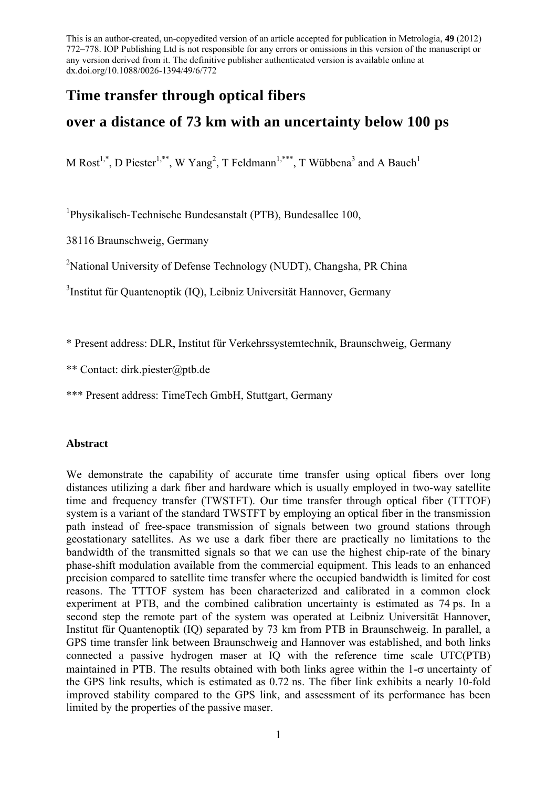# **Time transfer through optical fibers**

# **over a distance of 73 km with an uncertainty below 100 ps**

M Rost<sup>1,\*</sup>, D Piester<sup>1,\*\*</sup>, W Yang<sup>2</sup>, T Feldmann<sup>1,\*\*\*</sup>, T Wübbena<sup>3</sup> and A Bauch<sup>1</sup>

1 Physikalisch-Technische Bundesanstalt (PTB), Bundesallee 100,

38116 Braunschweig, Germany

<sup>2</sup>National University of Defense Technology (NUDT), Changsha, PR China

3 Institut für Quantenoptik (IQ), Leibniz Universität Hannover, Germany

\* Present address: DLR, Institut für Verkehrssystemtechnik, Braunschweig, Germany

\*\* Contact: dirk.piester@ptb.de

\*\*\* Present address: TimeTech GmbH, Stuttgart, Germany

## **Abstract**

We demonstrate the capability of accurate time transfer using optical fibers over long distances utilizing a dark fiber and hardware which is usually employed in two-way satellite time and frequency transfer (TWSTFT). Our time transfer through optical fiber (TTTOF) system is a variant of the standard TWSTFT by employing an optical fiber in the transmission path instead of free-space transmission of signals between two ground stations through geostationary satellites. As we use a dark fiber there are practically no limitations to the bandwidth of the transmitted signals so that we can use the highest chip-rate of the binary phase-shift modulation available from the commercial equipment. This leads to an enhanced precision compared to satellite time transfer where the occupied bandwidth is limited for cost reasons. The TTTOF system has been characterized and calibrated in a common clock experiment at PTB, and the combined calibration uncertainty is estimated as 74 ps. In a second step the remote part of the system was operated at Leibniz Universität Hannover, Institut für Quantenoptik (IQ) separated by 73 km from PTB in Braunschweig. In parallel, a GPS time transfer link between Braunschweig and Hannover was established, and both links connected a passive hydrogen maser at IQ with the reference time scale UTC(PTB) maintained in PTB. The results obtained with both links agree within the  $1-\sigma$  uncertainty of the GPS link results, which is estimated as 0.72 ns. The fiber link exhibits a nearly 10-fold improved stability compared to the GPS link, and assessment of its performance has been limited by the properties of the passive maser.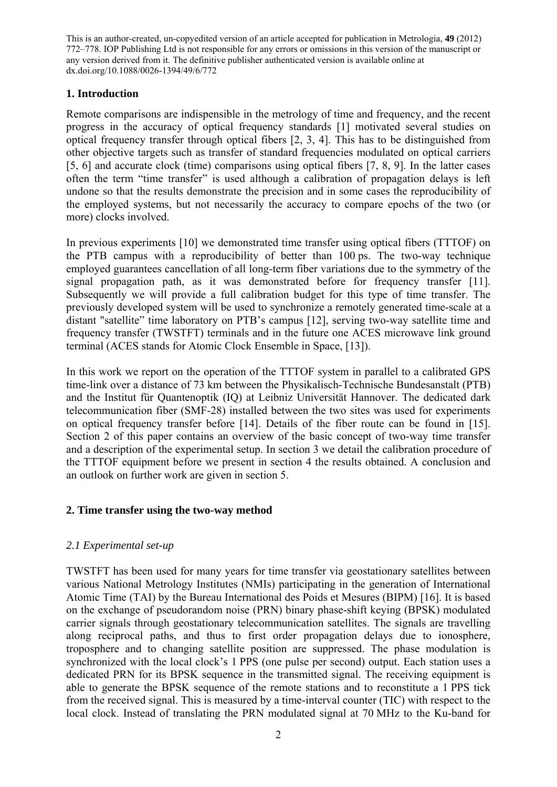## **1. Introduction**

Remote comparisons are indispensible in the metrology of time and frequency, and the recent progress in the accuracy of optical frequency standards [1] motivated several studies on optical frequency transfer through optical fibers [2, 3, 4]. This has to be distinguished from other objective targets such as transfer of standard frequencies modulated on optical carriers [5, 6] and accurate clock (time) comparisons using optical fibers [7, 8, 9]. In the latter cases often the term "time transfer" is used although a calibration of propagation delays is left undone so that the results demonstrate the precision and in some cases the reproducibility of the employed systems, but not necessarily the accuracy to compare epochs of the two (or more) clocks involved.

In previous experiments [10] we demonstrated time transfer using optical fibers (TTTOF) on the PTB campus with a reproducibility of better than 100 ps. The two-way technique employed guarantees cancellation of all long-term fiber variations due to the symmetry of the signal propagation path, as it was demonstrated before for frequency transfer [11]. Subsequently we will provide a full calibration budget for this type of time transfer. The previously developed system will be used to synchronize a remotely generated time-scale at a distant "satellite" time laboratory on PTB's campus [12], serving two-way satellite time and frequency transfer (TWSTFT) terminals and in the future one ACES microwave link ground terminal (ACES stands for Atomic Clock Ensemble in Space, [13]).

In this work we report on the operation of the TTTOF system in parallel to a calibrated GPS time-link over a distance of 73 km between the Physikalisch-Technische Bundesanstalt (PTB) and the Institut für Quantenoptik (IQ) at Leibniz Universität Hannover. The dedicated dark telecommunication fiber (SMF-28) installed between the two sites was used for experiments on optical frequency transfer before [14]. Details of the fiber route can be found in [15]. Section 2 of this paper contains an overview of the basic concept of two-way time transfer and a description of the experimental setup. In section 3 we detail the calibration procedure of the TTTOF equipment before we present in section 4 the results obtained. A conclusion and an outlook on further work are given in section 5.

# **2. Time transfer using the two-way method**

# *2.1 Experimental set-up*

TWSTFT has been used for many years for time transfer via geostationary satellites between various National Metrology Institutes (NMIs) participating in the generation of International Atomic Time (TAI) by the Bureau International des Poids et Mesures (BIPM) [16]. It is based on the exchange of pseudorandom noise (PRN) binary phase-shift keying (BPSK) modulated carrier signals through geostationary telecommunication satellites. The signals are travelling along reciprocal paths, and thus to first order propagation delays due to ionosphere, troposphere and to changing satellite position are suppressed. The phase modulation is synchronized with the local clock's 1 PPS (one pulse per second) output. Each station uses a dedicated PRN for its BPSK sequence in the transmitted signal. The receiving equipment is able to generate the BPSK sequence of the remote stations and to reconstitute a 1 PPS tick from the received signal. This is measured by a time-interval counter (TIC) with respect to the local clock. Instead of translating the PRN modulated signal at 70 MHz to the Ku-band for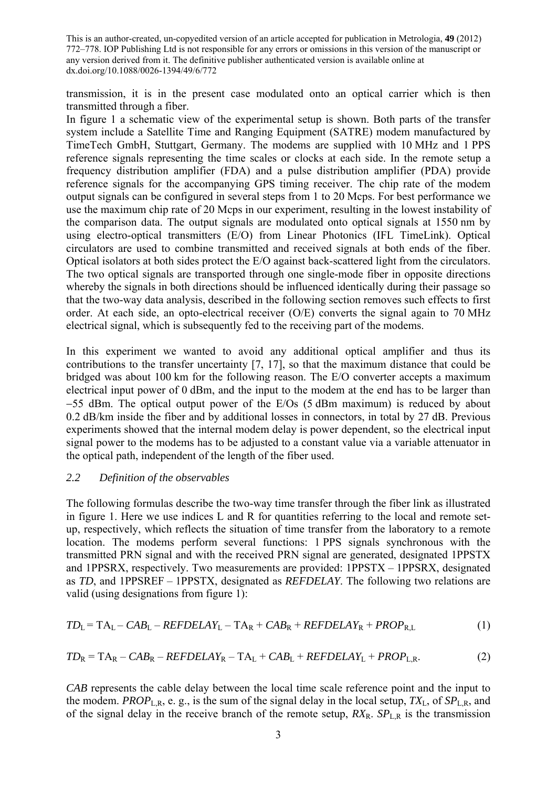transmission, it is in the present case modulated onto an optical carrier which is then transmitted through a fiber.

In figure 1 a schematic view of the experimental setup is shown. Both parts of the transfer system include a Satellite Time and Ranging Equipment (SATRE) modem manufactured by TimeTech GmbH, Stuttgart, Germany. The modems are supplied with 10 MHz and 1 PPS reference signals representing the time scales or clocks at each side. In the remote setup a frequency distribution amplifier (FDA) and a pulse distribution amplifier (PDA) provide reference signals for the accompanying GPS timing receiver. The chip rate of the modem output signals can be configured in several steps from 1 to 20 Mcps. For best performance we use the maximum chip rate of 20 Mcps in our experiment, resulting in the lowest instability of the comparison data. The output signals are modulated onto optical signals at 1550 nm by using electro-optical transmitters (E/O) from Linear Photonics (IFL TimeLink). Optical circulators are used to combine transmitted and received signals at both ends of the fiber. Optical isolators at both sides protect the E/O against back-scattered light from the circulators. The two optical signals are transported through one single-mode fiber in opposite directions whereby the signals in both directions should be influenced identically during their passage so that the two-way data analysis, described in the following section removes such effects to first order. At each side, an opto-electrical receiver (O/E) converts the signal again to 70 MHz electrical signal, which is subsequently fed to the receiving part of the modems.

In this experiment we wanted to avoid any additional optical amplifier and thus its contributions to the transfer uncertainty [7, 17], so that the maximum distance that could be bridged was about 100 km for the following reason. The E/O converter accepts a maximum electrical input power of 0 dBm, and the input to the modem at the end has to be larger than 55 dBm. The optical output power of the E/Os (5 dBm maximum) is reduced by about 0.2 dB/km inside the fiber and by additional losses in connectors, in total by 27 dB. Previous experiments showed that the internal modem delay is power dependent, so the electrical input signal power to the modems has to be adjusted to a constant value via a variable attenuator in the optical path, independent of the length of the fiber used.

### *2.2 Definition of the observables*

The following formulas describe the two-way time transfer through the fiber link as illustrated in figure 1. Here we use indices L and R for quantities referring to the local and remote setup, respectively, which reflects the situation of time transfer from the laboratory to a remote location. The modems perform several functions: 1 PPS signals synchronous with the transmitted PRN signal and with the received PRN signal are generated, designated 1PPSTX and 1PPSRX, respectively. Two measurements are provided: 1PPSTX – 1PPSRX, designated as *TD*, and 1PPSREF – 1PPSTX, designated as *REFDELAY*. The following two relations are valid (using designations from figure 1):

$$
TD_{L} = TA_{L} - CAB_{L} - REFDELAY_{L} - TA_{R} + CAB_{R} + REFDELAY_{R} + PROP_{R,L}
$$
\n(1)

$$
TD_R = TA_R - CAB_R - REFDELAY_R - TA_L + CAB_L + REFDELAY_L + PROP_{L,R}.
$$
\n(2)

*CAB* represents the cable delay between the local time scale reference point and the input to the modem. *PROP*<sub>L,R</sub>, e. g., is the sum of the signal delay in the local setup,  $TX_L$ , of  $SP_{LR}$ , and of the signal delay in the receive branch of the remote setup,  $RX_R$ .  $SP_{L,R}$  is the transmission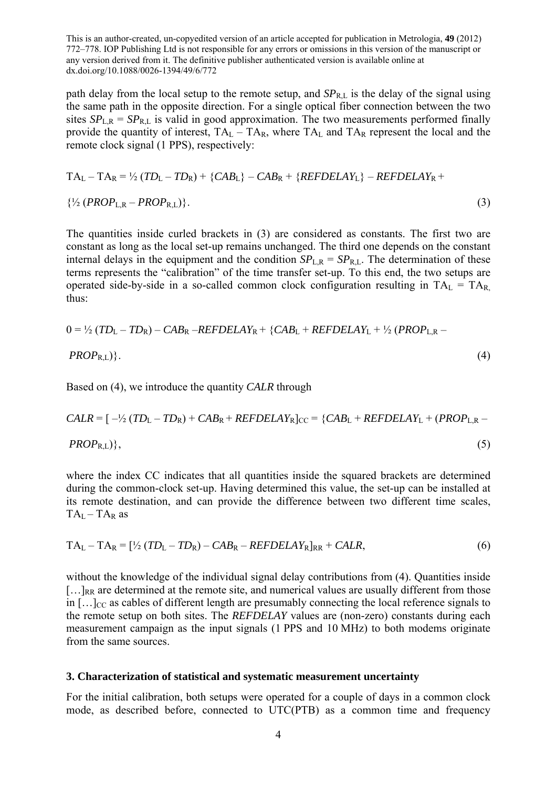path delay from the local setup to the remote setup, and  $SP_{R,L}$  is the delay of the signal using the same path in the opposite direction. For a single optical fiber connection between the two sites  $SP_{LR} = SP_{RL}$  is valid in good approximation. The two measurements performed finally provide the quantity of interest,  $TA_L - TA_R$ , where  $TA_L$  and  $TA_R$  represent the local and the remote clock signal (1 PPS), respectively:

$$
TA_{L} - TA_{R} = \frac{1}{2} (TD_{L} - TD_{R}) + \{CAB_{L}\} - CAB_{R} + \{REFDELAY_{L}\} - REFDELAY_{R} + \frac{1}{2} (PROP_{L,R} - PROP_{R,L}) \}.
$$
\n
$$
(3)
$$

The quantities inside curled brackets in (3) are considered as constants. The first two are constant as long as the local set-up remains unchanged. The third one depends on the constant internal delays in the equipment and the condition  $SP_{LR} = SP_{RL}$ . The determination of these terms represents the "calibration" of the time transfer set-up. To this end, the two setups are operated side-by-side in a so-called common clock configuration resulting in  $TA_L = TA_R$ thus:

$$
0 = \frac{1}{2} (TD_L - TD_R) - CAB_R - REFDELAY_R + \{ CAB_L + REFDELAY_L + \frac{1}{2} (PROP_{L,R} - PROP_{R,L}) \}.
$$
\n
$$
(4)
$$

Based on (4), we introduce the quantity *CALR* through

$$
CALR = [-\frac{1}{2} (TD_L - TD_R) + CAB_R + REFDELAY_R]_{CC} = \{ CAB_L + REFDELAY_L + (PROP_{L,R} - PROP_{R,L}) \},
$$
\n
$$
(5)
$$

where the index CC indicates that all quantities inside the squared brackets are determined during the common-clock set-up. Having determined this value, the set-up can be installed at its remote destination, and can provide the difference between two different time scales,  $TA_L - TA_R$  as

$$
TA_{L}-TA_{R}=[\frac{1}{2}(TD_{L}-TD_{R})-CAB_{R}-REFDELAY_{R}]_{RR}+CALR,
$$
\n(6)

without the knowledge of the individual signal delay contributions from  $(4)$ . Quantities inside  $[\dots]_{RR}$  are determined at the remote site, and numerical values are usually different from those in  $[\,\cdot\,,\cdot\,]_{CC}$  as cables of different length are presumably connecting the local reference signals to the remote setup on both sites. The *REFDELAY* values are (non-zero) constants during each measurement campaign as the input signals (1 PPS and 10 MHz) to both modems originate from the same sources.

#### **3. Characterization of statistical and systematic measurement uncertainty**

For the initial calibration, both setups were operated for a couple of days in a common clock mode, as described before, connected to UTC(PTB) as a common time and frequency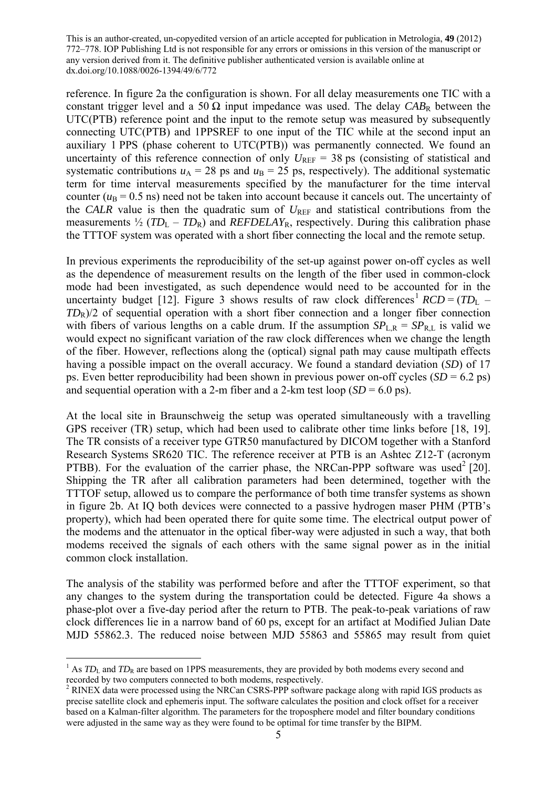reference. In figure 2a the configuration is shown. For all delay measurements one TIC with a constant trigger level and a 50  $\Omega$  input impedance was used. The delay  $CAB_R$  between the UTC(PTB) reference point and the input to the remote setup was measured by subsequently connecting UTC(PTB) and 1PPSREF to one input of the TIC while at the second input an auxiliary 1 PPS (phase coherent to UTC(PTB)) was permanently connected. We found an uncertainty of this reference connection of only  $U_{REF}$  = 38 ps (consisting of statistical and systematic contributions  $u_A = 28$  ps and  $u_B = 25$  ps, respectively). The additional systematic term for time interval measurements specified by the manufacturer for the time interval counter  $(u_B = 0.5 \text{ ns})$  need not be taken into account because it cancels out. The uncertainty of the *CALR* value is then the quadratic sum of  $U_{REF}$  and statistical contributions from the measurements  $\frac{1}{2}$  (*TD*<sub>L</sub> – *TD*<sub>R</sub>) and *REFDELAY*<sub>R</sub>, respectively. During this calibration phase the TTTOF system was operated with a short fiber connecting the local and the remote setup.

In previous experiments the reproducibility of the set-up against power on-off cycles as well as the dependence of measurement results on the length of the fiber used in common-clock mode had been investigated, as such dependence would need to be accounted for in the uncertainty budget [12]. Figure 3 shows results of raw clock differences<sup>1</sup>  $RCD = (TD<sub>L</sub> -$ *TD*R)/2 of sequential operation with a short fiber connection and a longer fiber connection with fibers of various lengths on a cable drum. If the assumption  $SP_{LR} = SP_{RL}$  is valid we would expect no significant variation of the raw clock differences when we change the length of the fiber. However, reflections along the (optical) signal path may cause multipath effects having a possible impact on the overall accuracy. We found a standard deviation (*SD*) of 17 ps. Even better reproducibility had been shown in previous power on-off cycles (*SD* = 6.2 ps) and sequential operation with a 2-m fiber and a 2-km test loop  $(SD = 6.0 \text{ ps})$ .

At the local site in Braunschweig the setup was operated simultaneously with a travelling GPS receiver (TR) setup, which had been used to calibrate other time links before [18, 19]. The TR consists of a receiver type GTR50 manufactured by DICOM together with a Stanford Research Systems SR620 TIC. The reference receiver at PTB is an Ashtec Z12-T (acronym PTBB). For the evaluation of the carrier phase, the NRCan-PPP software was used<sup>2</sup> [20]. Shipping the TR after all calibration parameters had been determined, together with the TTTOF setup, allowed us to compare the performance of both time transfer systems as shown in figure 2b. At IQ both devices were connected to a passive hydrogen maser PHM (PTB's property), which had been operated there for quite some time. The electrical output power of the modems and the attenuator in the optical fiber-way were adjusted in such a way, that both modems received the signals of each others with the same signal power as in the initial common clock installation.

The analysis of the stability was performed before and after the TTTOF experiment, so that any changes to the system during the transportation could be detected. Figure 4a shows a phase-plot over a five-day period after the return to PTB. The peak-to-peak variations of raw clock differences lie in a narrow band of 60 ps, except for an artifact at Modified Julian Date MJD 55862.3. The reduced noise between MJD 55863 and 55865 may result from quiet

1

<sup>&</sup>lt;sup>1</sup> As  $TD<sub>L</sub>$  and  $TD<sub>R</sub>$  are based on 1PPS measurements, they are provided by both modems every second and recorded by two computers connected to both modems, respectively.

<sup>&</sup>lt;sup>2</sup> RINEX data were processed using the NRCan CSRS-PPP software package along with rapid IGS products as precise satellite clock and ephemeris input. The software calculates the position and clock offset for a receiver based on a Kalman-filter algorithm. The parameters for the troposphere model and filter boundary conditions were adjusted in the same way as they were found to be optimal for time transfer by the BIPM.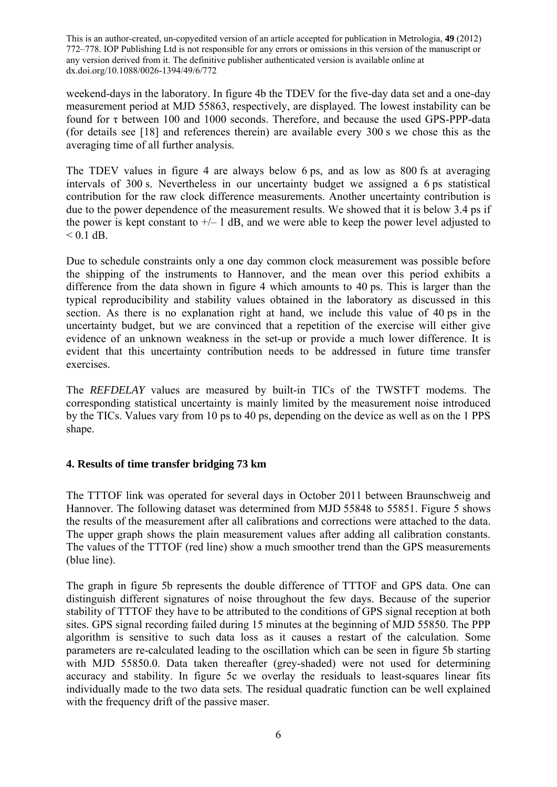weekend-days in the laboratory. In figure 4b the TDEV for the five-day data set and a one-day measurement period at MJD 55863, respectively, are displayed. The lowest instability can be found for τ between 100 and 1000 seconds. Therefore, and because the used GPS-PPP-data (for details see [18] and references therein) are available every 300 s we chose this as the averaging time of all further analysis.

The TDEV values in figure 4 are always below 6 ps, and as low as 800 fs at averaging intervals of 300 s. Nevertheless in our uncertainty budget we assigned a 6 ps statistical contribution for the raw clock difference measurements. Another uncertainty contribution is due to the power dependence of the measurement results. We showed that it is below 3.4 ps if the power is kept constant to  $\pm$  – 1 dB, and we were able to keep the power level adjusted to  $< 0.1$  dB.

Due to schedule constraints only a one day common clock measurement was possible before the shipping of the instruments to Hannover, and the mean over this period exhibits a difference from the data shown in figure 4 which amounts to 40 ps. This is larger than the typical reproducibility and stability values obtained in the laboratory as discussed in this section. As there is no explanation right at hand, we include this value of 40 ps in the uncertainty budget, but we are convinced that a repetition of the exercise will either give evidence of an unknown weakness in the set-up or provide a much lower difference. It is evident that this uncertainty contribution needs to be addressed in future time transfer exercises.

The *REFDELAY* values are measured by built-in TICs of the TWSTFT modems. The corresponding statistical uncertainty is mainly limited by the measurement noise introduced by the TICs. Values vary from 10 ps to 40 ps, depending on the device as well as on the 1 PPS shape.

# **4. Results of time transfer bridging 73 km**

The TTTOF link was operated for several days in October 2011 between Braunschweig and Hannover. The following dataset was determined from MJD 55848 to 55851. Figure 5 shows the results of the measurement after all calibrations and corrections were attached to the data. The upper graph shows the plain measurement values after adding all calibration constants. The values of the TTTOF (red line) show a much smoother trend than the GPS measurements (blue line).

The graph in figure 5b represents the double difference of TTTOF and GPS data. One can distinguish different signatures of noise throughout the few days. Because of the superior stability of TTTOF they have to be attributed to the conditions of GPS signal reception at both sites. GPS signal recording failed during 15 minutes at the beginning of MJD 55850. The PPP algorithm is sensitive to such data loss as it causes a restart of the calculation. Some parameters are re-calculated leading to the oscillation which can be seen in figure 5b starting with MJD 55850.0. Data taken thereafter (grev-shaded) were not used for determining accuracy and stability. In figure 5c we overlay the residuals to least-squares linear fits individually made to the two data sets. The residual quadratic function can be well explained with the frequency drift of the passive maser.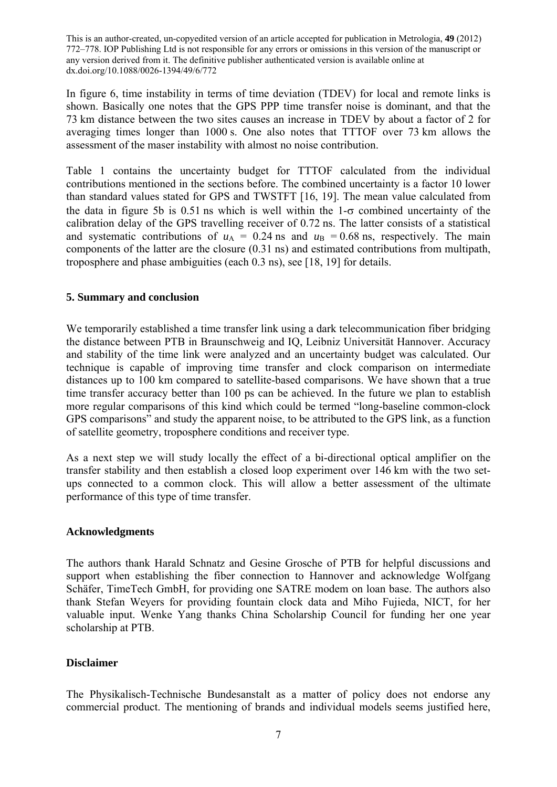In figure 6, time instability in terms of time deviation (TDEV) for local and remote links is shown. Basically one notes that the GPS PPP time transfer noise is dominant, and that the 73 km distance between the two sites causes an increase in TDEV by about a factor of 2 for averaging times longer than 1000 s. One also notes that TTTOF over 73 km allows the assessment of the maser instability with almost no noise contribution.

Table 1 contains the uncertainty budget for TTTOF calculated from the individual contributions mentioned in the sections before. The combined uncertainty is a factor 10 lower than standard values stated for GPS and TWSTFT [16, 19]. The mean value calculated from the data in figure 5b is 0.51 ns which is well within the  $1-\sigma$  combined uncertainty of the calibration delay of the GPS travelling receiver of 0.72 ns. The latter consists of a statistical and systematic contributions of  $u_A = 0.24$  ns and  $u_B = 0.68$  ns, respectively. The main components of the latter are the closure (0.31 ns) and estimated contributions from multipath, troposphere and phase ambiguities (each 0.3 ns), see [18, 19] for details.

## **5. Summary and conclusion**

We temporarily established a time transfer link using a dark telecommunication fiber bridging the distance between PTB in Braunschweig and IQ, Leibniz Universität Hannover. Accuracy and stability of the time link were analyzed and an uncertainty budget was calculated. Our technique is capable of improving time transfer and clock comparison on intermediate distances up to 100 km compared to satellite-based comparisons. We have shown that a true time transfer accuracy better than 100 ps can be achieved. In the future we plan to establish more regular comparisons of this kind which could be termed "long-baseline common-clock GPS comparisons" and study the apparent noise, to be attributed to the GPS link, as a function of satellite geometry, troposphere conditions and receiver type.

As a next step we will study locally the effect of a bi-directional optical amplifier on the transfer stability and then establish a closed loop experiment over 146 km with the two setups connected to a common clock. This will allow a better assessment of the ultimate performance of this type of time transfer.

# **Acknowledgments**

The authors thank Harald Schnatz and Gesine Grosche of PTB for helpful discussions and support when establishing the fiber connection to Hannover and acknowledge Wolfgang Schäfer, TimeTech GmbH, for providing one SATRE modem on loan base. The authors also thank Stefan Weyers for providing fountain clock data and Miho Fujieda, NICT, for her valuable input. Wenke Yang thanks China Scholarship Council for funding her one year scholarship at PTB.

## **Disclaimer**

The Physikalisch-Technische Bundesanstalt as a matter of policy does not endorse any commercial product. The mentioning of brands and individual models seems justified here,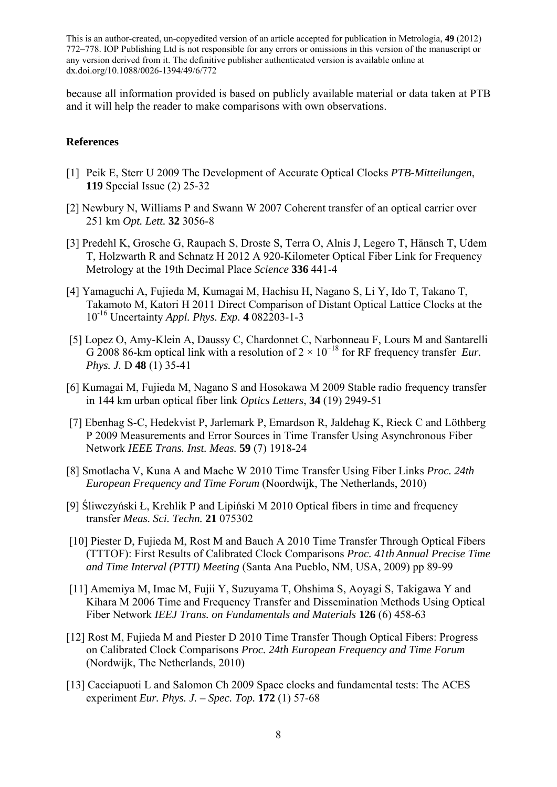because all information provided is based on publicly available material or data taken at PTB and it will help the reader to make comparisons with own observations.

#### **References**

- [1] Peik E, Sterr U 2009 The Development of Accurate Optical Clocks *PTB-Mitteilungen*, **119** Special Issue (2) 25-32
- [2] Newbury N, Williams P and Swann W 2007 Coherent transfer of an optical carrier over 251 km *Opt. Lett.* **32** 3056-8
- [3] Predehl K, Grosche G, Raupach S, Droste S, Terra O, Alnis J, Legero T, Hänsch T, Udem T, Holzwarth R and Schnatz H 2012 A 920-Kilometer Optical Fiber Link for Frequency Metrology at the 19th Decimal Place *Science* **336** 441-4
- [4] Yamaguchi A, Fujieda M, Kumagai M, Hachisu H, Nagano S, Li Y, Ido T, Takano T, Takamoto M, Katori H 2011 Direct Comparison of Distant Optical Lattice Clocks at the 10-16 Uncertainty *Appl. Phys. Exp.* **4** 082203-1-3
- [5] Lopez O, Amy-Klein A, Daussy C, Chardonnet C, Narbonneau F, Lours M and Santarelli G 2008 86-km optical link with a resolution of  $2 \times 10^{-18}$  for RF frequency transfer *Eur*. *Phys. J.* D **48** (1) 35-41
- [6] Kumagai M, Fujieda M, Nagano S and Hosokawa M 2009 Stable radio frequency transfer in 144 km urban optical fiber link *Optics Letters*, **34** (19) 2949-51
- [7] Ebenhag S-C, Hedekvist P, Jarlemark P, Emardson R, Jaldehag K, Rieck C and Löthberg P 2009 Measurements and Error Sources in Time Transfer Using Asynchronous Fiber Network *IEEE Trans. Inst. Meas.* **59** (7) 1918-24
- [8] Smotlacha V, Kuna A and Mache W 2010 Time Transfer Using Fiber Links *Proc. 24th European Frequency and Time Forum* (Noordwijk, The Netherlands, 2010)
- [9] Śliwczyński Ł, Krehlik P and Lipiński M 2010 Optical fibers in time and frequency transfer *Meas. Sci. Techn.* **21** 075302
- [10] Piester D, Fujieda M, Rost M and Bauch A 2010 Time Transfer Through Optical Fibers (TTTOF): First Results of Calibrated Clock Comparisons *Proc. 41th Annual Precise Time and Time Interval (PTTI) Meeting* (Santa Ana Pueblo, NM, USA, 2009) pp 89-99
- [11] Amemiya M, Imae M, Fujii Y, Suzuyama T, Ohshima S, Aoyagi S, Takigawa Y and Kihara M 2006 Time and Frequency Transfer and Dissemination Methods Using Optical Fiber Network *IEEJ Trans. on Fundamentals and Materials* **126** (6) 458-63
- [12] Rost M, Fujieda M and Piester D 2010 Time Transfer Though Optical Fibers: Progress on Calibrated Clock Comparisons *Proc. 24th European Frequency and Time Forum* (Nordwijk, The Netherlands, 2010)
- [13] Cacciapuoti L and Salomon Ch 2009 Space clocks and fundamental tests: The ACES experiment *Eur. Phys. J. – Spec. Top.* **172** (1) 57-68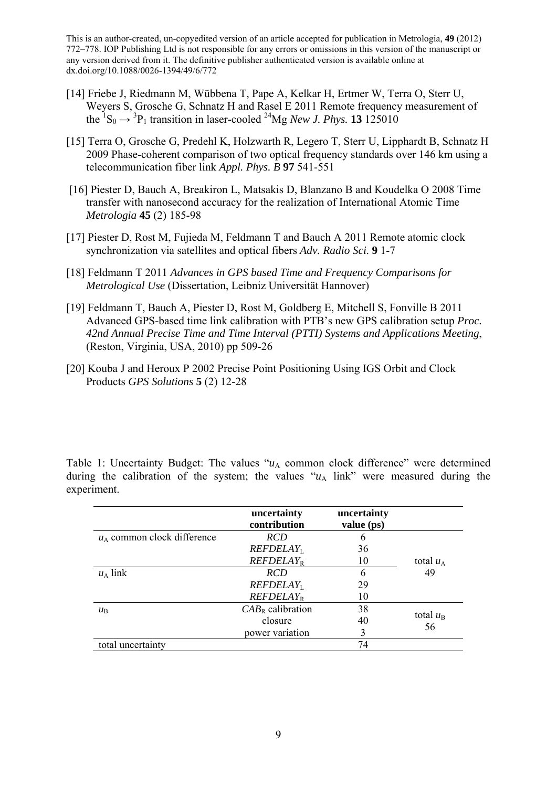- [14] Friebe J, Riedmann M, Wübbena T, Pape A, Kelkar H, Ertmer W, Terra O, Sterr U, Weyers S, Grosche G, Schnatz H and Rasel E 2011 Remote frequency measurement of the  ${}^{1}S_{0} \rightarrow {}^{3}P_{1}$  transition in laser-cooled  ${}^{24}Mg$  *New J. Phys.* **13** 125010
- [15] Terra O, Grosche G, Predehl K, Holzwarth R, Legero T, Sterr U, Lipphardt B, Schnatz H 2009 Phase-coherent comparison of two optical frequency standards over 146 km using a telecommunication fiber link *Appl. Phys. B* **97** 541-551
- [16] Piester D, Bauch A, Breakiron L, Matsakis D, Blanzano B and Koudelka O 2008 Time transfer with nanosecond accuracy for the realization of International Atomic Time *Metrologia* **45** (2) 185-98
- [17] Piester D, Rost M, Fujieda M, Feldmann T and Bauch A 2011 Remote atomic clock synchronization via satellites and optical fibers *Adv. Radio Sci.* **9** 1-7
- [18] Feldmann T 2011 *Advances in GPS based Time and Frequency Comparisons for Metrological Use* (Dissertation, Leibniz Universität Hannover)
- [19] Feldmann T, Bauch A, Piester D, Rost M, Goldberg E, Mitchell S, Fonville B 2011 Advanced GPS-based time link calibration with PTB's new GPS calibration setup *Proc. 42nd Annual Precise Time and Time Interval (PTTI) Systems and Applications Meeting*, (Reston, Virginia, USA, 2010) pp 509-26
- [20] Kouba J and Heroux P 2002 Precise Point Positioning Using IGS Orbit and Clock Products *GPS Solutions* **5** (2) 12-28

Table 1: Uncertainty Budget: The values " $u_A$  common clock difference" were determined during the calibration of the system; the values " $u_A$  link" were measured during the experiment.

|                               | uncertainty<br>contribution | uncertainty<br>value (ps) |                         |
|-------------------------------|-----------------------------|---------------------------|-------------------------|
| $u_A$ common clock difference | <b>RCD</b>                  | 6                         |                         |
|                               | REFDELAY <sub>1</sub>       | 36                        |                         |
|                               | REFDELAY <sub>R</sub>       | 10                        | total $u_A$<br>49       |
| $u_A$ link                    | <b>RCD</b>                  | 6                         |                         |
|                               | REFDELAY <sub>1</sub>       | 29                        |                         |
|                               | REFDELAY <sub>R</sub>       | 10                        |                         |
| $\mu_{\rm B}$                 | $CAB_R$ calibration         | 38                        | total $u_{\rm B}$<br>56 |
|                               | closure                     | 40                        |                         |
|                               | power variation             | 3                         |                         |
| total uncertainty             |                             | 74                        |                         |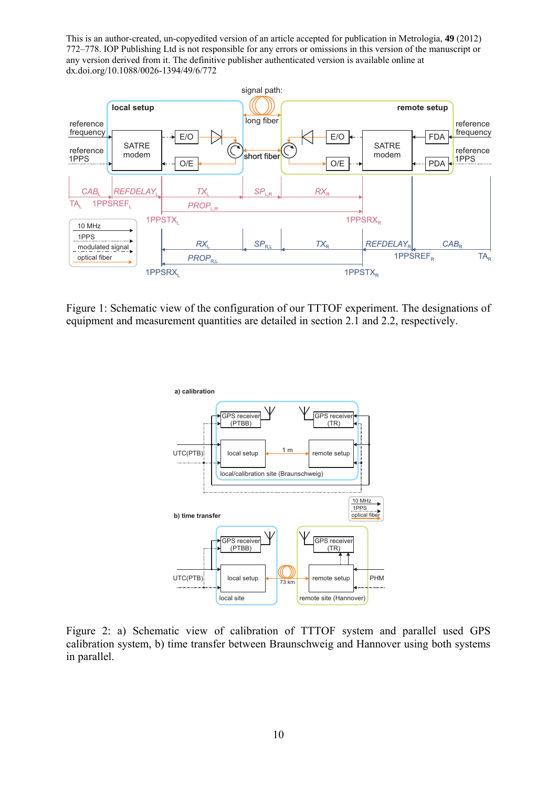

Figure 1: Schematic view of the configuration of our TTTOF experiment. The designations of equipment and measurement quantities are detailed in section 2.1 and 2.2, respectively.



Figure 2: a) Schematic view of calibration of TTTOF system and parallel used GPS calibration system, b) time transfer between Braunschweig and Hannover using both systems in parallel.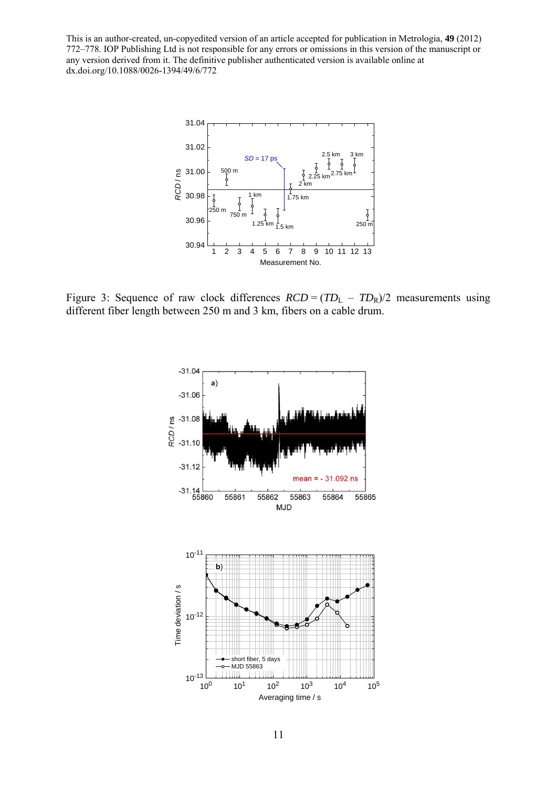

Figure 3: Sequence of raw clock differences  $RCD = (TD<sub>L</sub> - TD<sub>R</sub>)/2$  measurements using different fiber length between 250 m and 3 km, fibers on a cable drum.

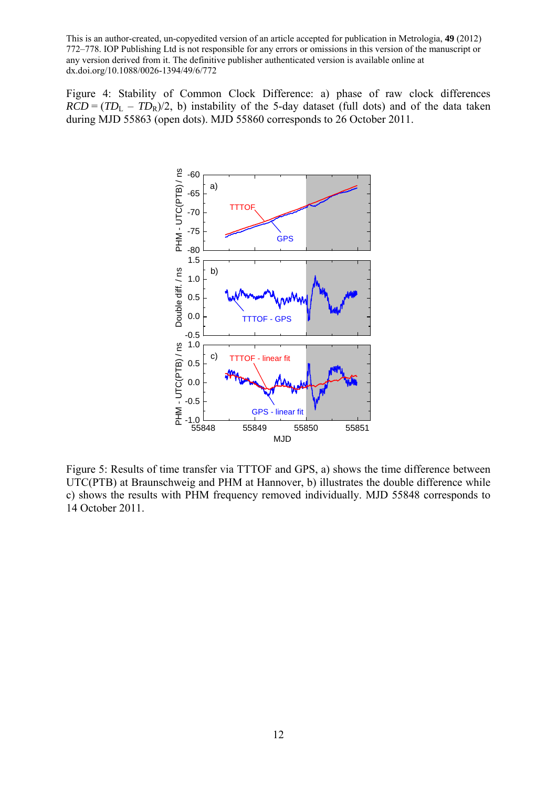Figure 4: Stability of Common Clock Difference: a) phase of raw clock differences  $RCD = (TD<sub>L</sub> - TD<sub>R</sub>)/2$ , b) instability of the 5-day dataset (full dots) and of the data taken during MJD 55863 (open dots). MJD 55860 corresponds to 26 October 2011.



Figure 5: Results of time transfer via TTTOF and GPS, a) shows the time difference between UTC(PTB) at Braunschweig and PHM at Hannover, b) illustrates the double difference while c) shows the results with PHM frequency removed individually. MJD 55848 corresponds to 14 October 2011.